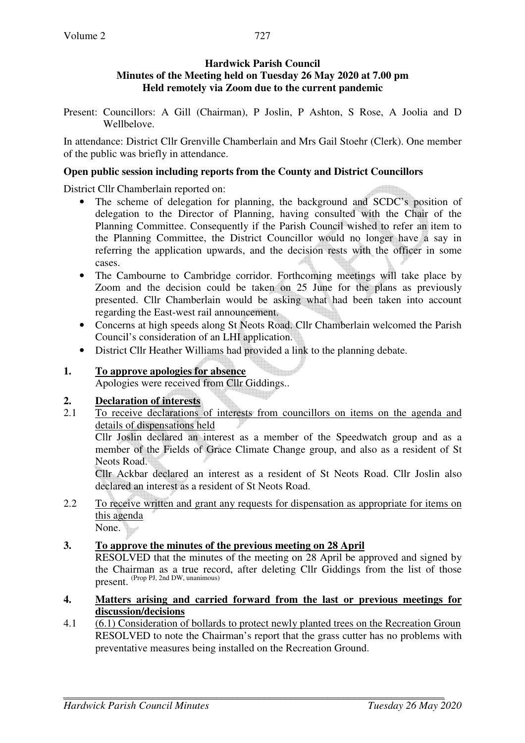## **Hardwick Parish Council Minutes of the Meeting held on Tuesday 26 May 2020 at 7.00 pm Held remotely via Zoom due to the current pandemic**

Present: Councillors: A Gill (Chairman), P Joslin, P Ashton, S Rose, A Joolia and D Wellbelove.

In attendance: District Cllr Grenville Chamberlain and Mrs Gail Stoehr (Clerk). One member of the public was briefly in attendance.

## **Open public session including reports from the County and District Councillors**

District Cllr Chamberlain reported on:

- The scheme of delegation for planning, the background and SCDC's position of delegation to the Director of Planning, having consulted with the Chair of the Planning Committee. Consequently if the Parish Council wished to refer an item to the Planning Committee, the District Councillor would no longer have a say in referring the application upwards, and the decision rests with the officer in some cases.
- The Cambourne to Cambridge corridor. Forthcoming meetings will take place by Zoom and the decision could be taken on 25 June for the plans as previously presented. Cllr Chamberlain would be asking what had been taken into account regarding the East-west rail announcement.
- Concerns at high speeds along St Neots Road. Cllr Chamberlain welcomed the Parish Council's consideration of an LHI application.
- District Cllr Heather Williams had provided a link to the planning debate.

# **1. To approve apologies for absence**

Apologies were received from Cllr Giddings..

# **2. Declaration of interests**

2.1 To receive declarations of interests from councillors on items on the agenda and details of dispensations held

Cllr Joslin declared an interest as a member of the Speedwatch group and as a member of the Fields of Grace Climate Change group, and also as a resident of St Neots Road.

Cllr Ackbar declared an interest as a resident of St Neots Road. Cllr Joslin also declared an interest as a resident of St Neots Road.

2.2 To receive written and grant any requests for dispensation as appropriate for items on this agenda

None.

# **3. To approve the minutes of the previous meeting on 28 April**

 RESOLVED that the minutes of the meeting on 28 April be approved and signed by the Chairman as a true record, after deleting Cllr Giddings from the list of those present. (Prop PJ, 2nd DW, unanimous)

## **4. Matters arising and carried forward from the last or previous meetings for discussion/decisions**

4.1 (6.1) Consideration of bollards to protect newly planted trees on the Recreation Groun RESOLVED to note the Chairman's report that the grass cutter has no problems with preventative measures being installed on the Recreation Ground.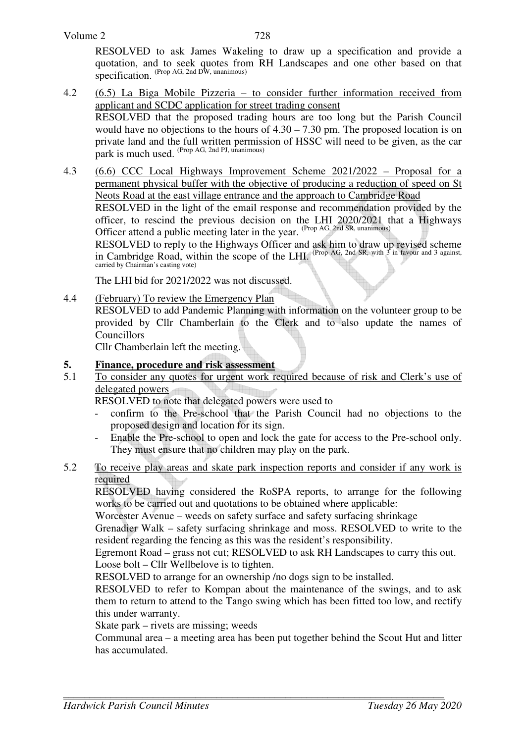RESOLVED to ask James Wakeling to draw up a specification and provide a quotation, and to seek quotes from RH Landscapes and one other based on that specification. (Prop AG, 2nd DW, unanimous)

4.2 (6.5) La Biga Mobile Pizzeria – to consider further information received from applicant and SCDC application for street trading consent RESOLVED that the proposed trading hours are too long but the Parish Council would have no objections to the hours of 4.30 – 7.30 pm. The proposed location is on private land and the full written permission of HSSC will need to be given, as the car park is much used. (Prop AG, 2nd PJ, unanimous)

4.3 (6.6) CCC Local Highways Improvement Scheme 2021/2022 – Proposal for a permanent physical buffer with the objective of producing a reduction of speed on St Neots Road at the east village entrance and the approach to Cambridge Road RESOLVED in the light of the email response and recommendation provided by the officer, to rescind the previous decision on the LHI 2020/2021 that a Highways

Officer attend a public meeting later in the year. <sup>(Prop AG, 2nd SR, unanimous)</sup> RESOLVED to reply to the Highways Officer and ask him to draw up revised scheme in Cambridge Road, within the scope of the LHI. (Prop AG, 2nd SR, with 3 in favour and 3 against, carried by Chairman's casting vote)

The LHI bid for 2021/2022 was not discussed.

4.4 (February) To review the Emergency Plan

RESOLVED to add Pandemic Planning with information on the volunteer group to be provided by Cllr Chamberlain to the Clerk and to also update the names of **Councillors** 

Cllr Chamberlain left the meeting.

#### **5. Finance, procedure and risk assessment**

5.1 To consider any quotes for urgent work required because of risk and Clerk's use of delegated powers

RESOLVED to note that delegated powers were used to

- confirm to the Pre-school that the Parish Council had no objections to the proposed design and location for its sign.
- Enable the Pre-school to open and lock the gate for access to the Pre-school only. They must ensure that no children may play on the park.
- 5.2 To receive play areas and skate park inspection reports and consider if any work is required

RESOLVED having considered the RoSPA reports, to arrange for the following works to be carried out and quotations to be obtained where applicable:

Worcester Avenue – weeds on safety surface and safety surfacing shrinkage

Grenadier Walk – safety surfacing shrinkage and moss. RESOLVED to write to the resident regarding the fencing as this was the resident's responsibility.

Egremont Road – grass not cut; RESOLVED to ask RH Landscapes to carry this out. Loose bolt – Cllr Wellbelove is to tighten.

RESOLVED to arrange for an ownership /no dogs sign to be installed.

RESOLVED to refer to Kompan about the maintenance of the swings, and to ask them to return to attend to the Tango swing which has been fitted too low, and rectify this under warranty.

Skate park – rivets are missing; weeds

Communal area – a meeting area has been put together behind the Scout Hut and litter has accumulated.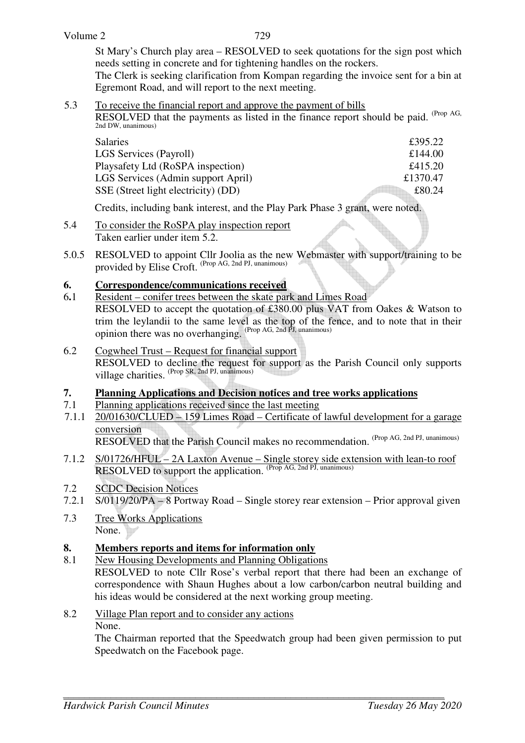St Mary's Church play area – RESOLVED to seek quotations for the sign post which needs setting in concrete and for tightening handles on the rockers.

The Clerk is seeking clarification from Kompan regarding the invoice sent for a bin at Egremont Road, and will report to the next meeting.

5.3 To receive the financial report and approve the payment of bills

RESOLVED that the payments as listed in the finance report should be paid. (Prop AG, 2nd DW, unanimous)

| Salaries                            | £395.22  |
|-------------------------------------|----------|
| <b>LGS Services (Payroll)</b>       | £144.00  |
| Playsafety Ltd (RoSPA inspection)   | £415.20  |
| LGS Services (Admin support April)  | £1370.47 |
| SSE (Street light electricity) (DD) | £80.24   |
|                                     |          |

Credits, including bank interest, and the Play Park Phase 3 grant, were noted.

- 5.4 To consider the RoSPA play inspection report Taken earlier under item 5.2.
- 5.0.5 RESOLVED to appoint Cllr Joolia as the new Webmaster with support/training to be provided by Elise Croft. (Prop AG, 2nd PJ, unanimous)

## **6. Correspondence/communications received**

- 6**.**1 Resident conifer trees between the skate park and Limes Road RESOLVED to accept the quotation of £380.00 plus VAT from Oakes & Watson to trim the leylandii to the same level as the top of the fence, and to note that in their opinion there was no overhanging. (Prop AG, 2nd PJ, unanimous)
- 6.2 Cogwheel Trust Request for financial support RESOLVED to decline the request for support as the Parish Council only supports village charities. (Prop SR, 2nd PJ, unanimous)

## **7. Planning Applications and Decision notices and tree works applications**

- 7.1 Planning applications received since the last meeting
- 7.1.1 20/01630/CLUED 159 Limes Road Certificate of lawful development for a garage conversion RESOLVED that the Parish Council makes no recommendation. (Prop AG, 2nd PJ, unanimous)
- 7.1.2 S/01726/HFUL 2A Laxton Avenue Single storey side extension with lean-to roof RESOLVED to support the application. (Prop AG, 2nd PJ, unanimous)
- 7.2 SCDC Decision Notices
- 7.2.1 S/0119/20/PA 8 Portway Road Single storey rear extension Prior approval given
- 7.3 Tree Works Applications None.

## **8. Members reports and items for information only**

- 8.1 New Housing Developments and Planning Obligations RESOLVED to note Cllr Rose's verbal report that there had been an exchange of correspondence with Shaun Hughes about a low carbon/carbon neutral building and his ideas would be considered at the next working group meeting.
- 8.2 Village Plan report and to consider any actions None.
	- The Chairman reported that the Speedwatch group had been given permission to put Speedwatch on the Facebook page.